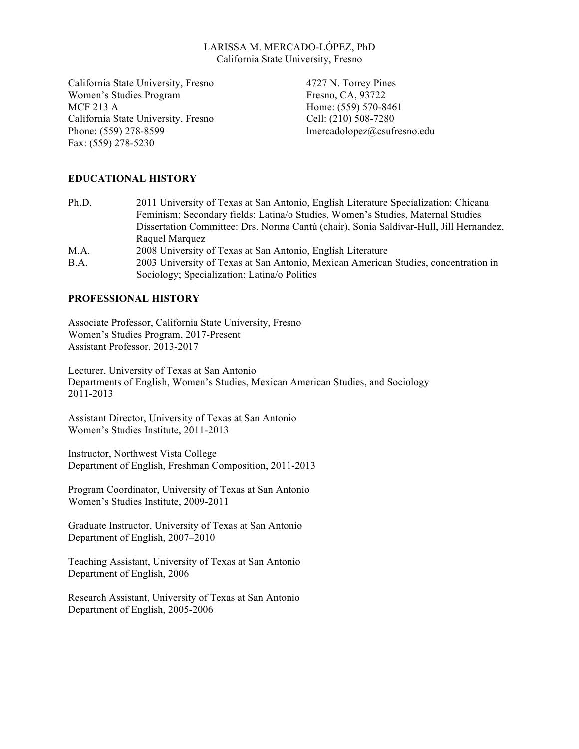### LARISSA M. MERCADO-LÓPEZ, PhD California State University, Fresno

California State University, Fresno Women's Studies Program MCF 213 A California State University, Fresno Phone: (559) 278-8599 Fax: (559) 278-5230

4727 N. Torrey Pines Fresno, CA, 93722 Home: (559) 570-8461 Cell: (210) 508-7280 lmercadolopez@csufresno.edu

# **EDUCATIONAL HISTORY**

| Ph.D. | 2011 University of Texas at San Antonio, English Literature Specialization: Chicana                                                 |
|-------|-------------------------------------------------------------------------------------------------------------------------------------|
|       | Feminism; Secondary fields: Latina/o Studies, Women's Studies, Maternal Studies                                                     |
|       | Dissertation Committee: Drs. Norma Cantú (chair), Sonia Saldívar-Hull, Jill Hernandez,                                              |
|       | Raquel Marquez                                                                                                                      |
| M.A.  | 2008 University of Texas at San Antonio, English Literature                                                                         |
| B.A.  | 2003 University of Texas at San Antonio, Mexican American Studies, concentration in<br>Sociology; Specialization: Latina/o Politics |

#### **PROFESSIONAL HISTORY**

Associate Professor, California State University, Fresno Women's Studies Program, 2017-Present Assistant Professor, 2013-2017

Lecturer, University of Texas at San Antonio Departments of English, Women's Studies, Mexican American Studies, and Sociology 2011-2013

Assistant Director, University of Texas at San Antonio Women's Studies Institute, 2011-2013

Instructor, Northwest Vista College Department of English, Freshman Composition, 2011-2013

Program Coordinator, University of Texas at San Antonio Women's Studies Institute, 2009-2011

Graduate Instructor, University of Texas at San Antonio Department of English, 2007–2010

Teaching Assistant, University of Texas at San Antonio Department of English, 2006

Research Assistant, University of Texas at San Antonio Department of English, 2005-2006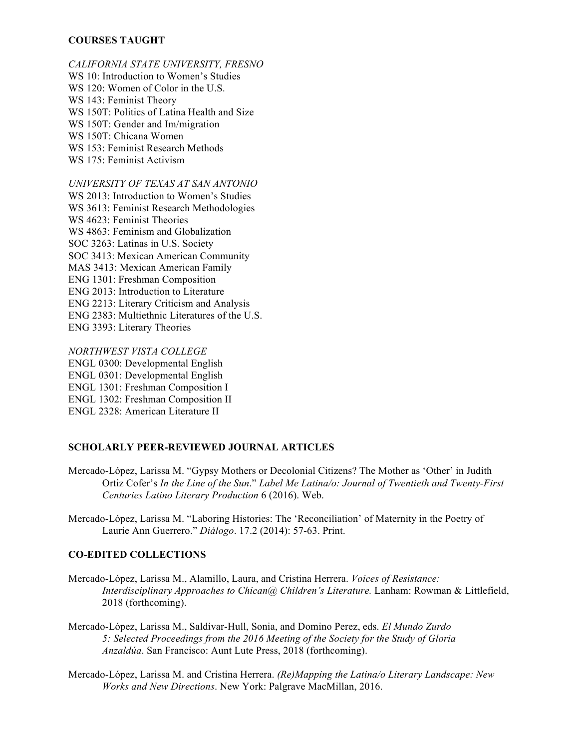#### **COURSES TAUGHT**

*CALIFORNIA STATE UNIVERSITY, FRESNO* WS 10: Introduction to Women's Studies WS 120: Women of Color in the U.S. WS 143: Feminist Theory WS 150T: Politics of Latina Health and Size WS 150T: Gender and Im/migration WS 150T: Chicana Women WS 153: Feminist Research Methods WS 175: Feminist Activism

*UNIVERSITY OF TEXAS AT SAN ANTONIO* WS 2013: Introduction to Women's Studies WS 3613: Feminist Research Methodologies WS 4623: Feminist Theories WS 4863: Feminism and Globalization SOC 3263: Latinas in U.S. Society SOC 3413: Mexican American Community MAS 3413: Mexican American Family ENG 1301: Freshman Composition ENG 2013: Introduction to Literature ENG 2213: Literary Criticism and Analysis ENG 2383: Multiethnic Literatures of the U.S. ENG 3393: Literary Theories

*NORTHWEST VISTA COLLEGE* ENGL 0300: Developmental English ENGL 0301: Developmental English ENGL 1301: Freshman Composition I ENGL 1302: Freshman Composition II ENGL 2328: American Literature II

#### **SCHOLARLY PEER-REVIEWED JOURNAL ARTICLES**

- Mercado-López, Larissa M. "Gypsy Mothers or Decolonial Citizens? The Mother as 'Other' in Judith Ortiz Cofer's *In the Line of the Sun*." *Label Me Latina/o: Journal of Twentieth and Twenty-First Centuries Latino Literary Production* 6 (2016). Web.
- Mercado-López, Larissa M. "Laboring Histories: The 'Reconciliation' of Maternity in the Poetry of Laurie Ann Guerrero." *Diálogo*. 17.2 (2014): 57-63. Print.

## **CO-EDITED COLLECTIONS**

- Mercado-López, Larissa M., Alamillo, Laura, and Cristina Herrera. *Voices of Resistance: Interdisciplinary Approaches to Chican@ Children's Literature.* Lanham: Rowman & Littlefield, 2018 (forthcoming).
- Mercado-López, Larissa M., Saldívar-Hull, Sonia, and Domino Perez, eds. *El Mundo Zurdo 5: Selected Proceedings from the 2016 Meeting of the Society for the Study of Gloria Anzaldúa*. San Francisco: Aunt Lute Press, 2018 (forthcoming).
- Mercado-López, Larissa M. and Cristina Herrera. *(Re)Mapping the Latina/o Literary Landscape: New Works and New Directions*. New York: Palgrave MacMillan, 2016.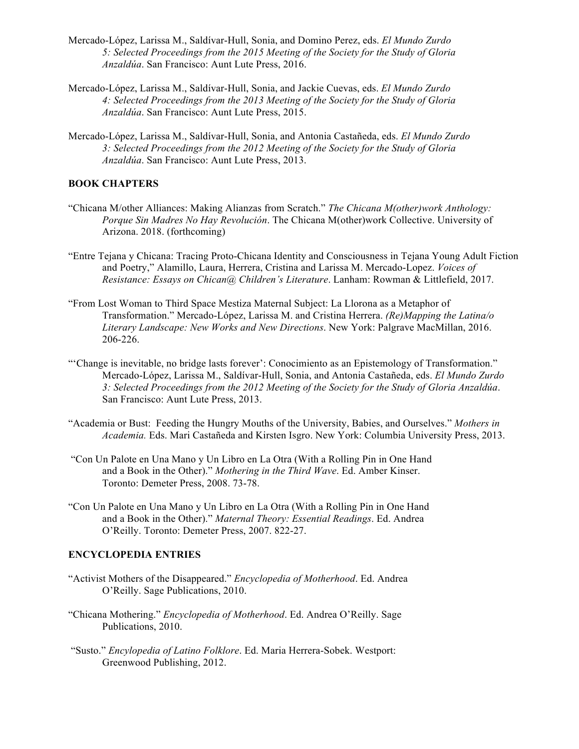- Mercado-López, Larissa M., Saldívar-Hull, Sonia, and Domino Perez, eds. *El Mundo Zurdo 5: Selected Proceedings from the 2015 Meeting of the Society for the Study of Gloria Anzaldúa*. San Francisco: Aunt Lute Press, 2016.
- Mercado-López, Larissa M., Saldívar-Hull, Sonia, and Jackie Cuevas, eds. *El Mundo Zurdo 4: Selected Proceedings from the 2013 Meeting of the Society for the Study of Gloria Anzaldúa*. San Francisco: Aunt Lute Press, 2015.
- Mercado-López, Larissa M., Saldívar-Hull, Sonia, and Antonia Castañeda, eds. *El Mundo Zurdo 3: Selected Proceedings from the 2012 Meeting of the Society for the Study of Gloria Anzaldúa*. San Francisco: Aunt Lute Press, 2013.

## **BOOK CHAPTERS**

- "Chicana M/other Alliances: Making Alianzas from Scratch." *The Chicana M(other)work Anthology: Porque Sin Madres No Hay Revolución*. The Chicana M(other)work Collective. University of Arizona. 2018. (forthcoming)
- "Entre Tejana y Chicana: Tracing Proto-Chicana Identity and Consciousness in Tejana Young Adult Fiction and Poetry," Alamillo, Laura, Herrera, Cristina and Larissa M. Mercado-Lopez. *Voices of Resistance: Essays on Chican@ Children's Literature*. Lanham: Rowman & Littlefield, 2017.
- "From Lost Woman to Third Space Mestiza Maternal Subject: La Llorona as a Metaphor of Transformation." Mercado-López, Larissa M. and Cristina Herrera. *(Re)Mapping the Latina/o Literary Landscape: New Works and New Directions*. New York: Palgrave MacMillan, 2016. 206-226.
- "'Change is inevitable, no bridge lasts forever': Conocimiento as an Epistemology of Transformation." Mercado-López, Larissa M., Saldívar-Hull, Sonia, and Antonia Castañeda, eds. *El Mundo Zurdo 3: Selected Proceedings from the 2012 Meeting of the Society for the Study of Gloria Anzaldúa*. San Francisco: Aunt Lute Press, 2013.
- "Academia or Bust: Feeding the Hungry Mouths of the University, Babies, and Ourselves." *Mothers in Academia.* Eds. Mari Castañeda and Kirsten Isgro. New York: Columbia University Press, 2013.
- "Con Un Palote en Una Mano y Un Libro en La Otra (With a Rolling Pin in One Hand and a Book in the Other)." *Mothering in the Third Wave*. Ed. Amber Kinser. Toronto: Demeter Press, 2008. 73-78.
- "Con Un Palote en Una Mano y Un Libro en La Otra (With a Rolling Pin in One Hand and a Book in the Other)." *Maternal Theory: Essential Readings*. Ed. Andrea O'Reilly. Toronto: Demeter Press, 2007. 822-27.

#### **ENCYCLOPEDIA ENTRIES**

- "Activist Mothers of the Disappeared." *Encyclopedia of Motherhood*. Ed. Andrea O'Reilly. Sage Publications, 2010.
- "Chicana Mothering." *Encyclopedia of Motherhood*. Ed. Andrea O'Reilly. Sage Publications, 2010.
- "Susto." *Encylopedia of Latino Folklore*. Ed. Maria Herrera-Sobek. Westport: Greenwood Publishing, 2012.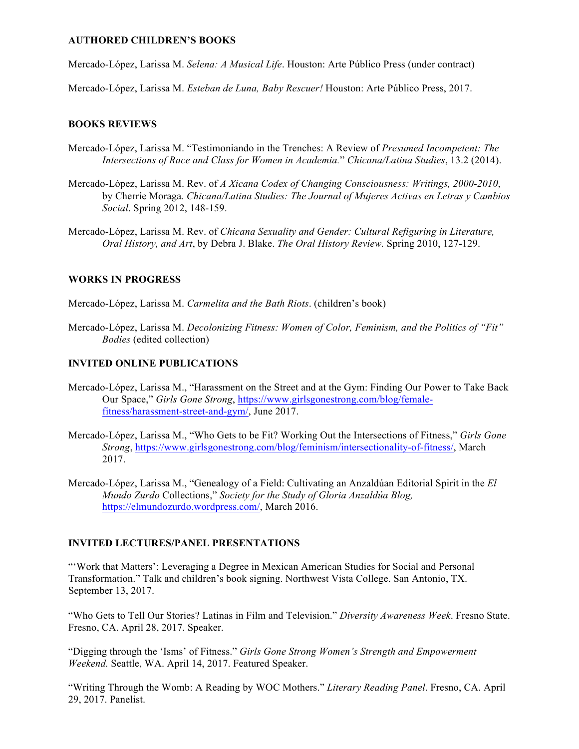#### **AUTHORED CHILDREN'S BOOKS**

Mercado-López, Larissa M. *Selena: A Musical Life*. Houston: Arte Público Press (under contract)

Mercado-López, Larissa M. *Esteban de Luna, Baby Rescuer!* Houston: Arte Público Press, 2017.

#### **BOOKS REVIEWS**

- Mercado-López, Larissa M. "Testimoniando in the Trenches: A Review of *Presumed Incompetent: The Intersections of Race and Class for Women in Academia.*" *Chicana/Latina Studies*, 13.2 (2014).
- Mercado-López, Larissa M. Rev. of *A Xicana Codex of Changing Consciousness: Writings, 2000-2010*, by Cherríe Moraga. *Chicana/Latina Studies: The Journal of Mujeres Activas en Letras y Cambios Social*. Spring 2012, 148-159.
- Mercado-López, Larissa M. Rev. of *Chicana Sexuality and Gender: Cultural Refiguring in Literature, Oral History, and Art*, by Debra J. Blake. *The Oral History Review.* Spring 2010, 127-129.

#### **WORKS IN PROGRESS**

Mercado-López, Larissa M. *Carmelita and the Bath Riots*. (children's book)

Mercado-López, Larissa M. *Decolonizing Fitness: Women of Color, Feminism, and the Politics of "Fit" Bodies* (edited collection)

#### **INVITED ONLINE PUBLICATIONS**

- Mercado-López, Larissa M., "Harassment on the Street and at the Gym: Finding Our Power to Take Back Our Space," *Girls Gone Strong*, https://www.girlsgonestrong.com/blog/femalefitness/harassment-street-and-gym/, June 2017.
- Mercado-López, Larissa M., "Who Gets to be Fit? Working Out the Intersections of Fitness," *Girls Gone Strong*, https://www.girlsgonestrong.com/blog/feminism/intersectionality-of-fitness/, March 2017.
- Mercado-López, Larissa M., "Genealogy of a Field: Cultivating an Anzaldúan Editorial Spirit in the *El Mundo Zurdo* Collections," *Society for the Study of Gloria Anzaldúa Blog,* https://elmundozurdo.wordpress.com/, March 2016.

#### **INVITED LECTURES/PANEL PRESENTATIONS**

"'Work that Matters': Leveraging a Degree in Mexican American Studies for Social and Personal Transformation." Talk and children's book signing. Northwest Vista College. San Antonio, TX. September 13, 2017.

"Who Gets to Tell Our Stories? Latinas in Film and Television." *Diversity Awareness Week*. Fresno State. Fresno, CA. April 28, 2017. Speaker.

"Digging through the 'Isms' of Fitness." *Girls Gone Strong Women's Strength and Empowerment Weekend.* Seattle, WA. April 14, 2017. Featured Speaker.

"Writing Through the Womb: A Reading by WOC Mothers." *Literary Reading Panel*. Fresno, CA. April 29, 2017. Panelist.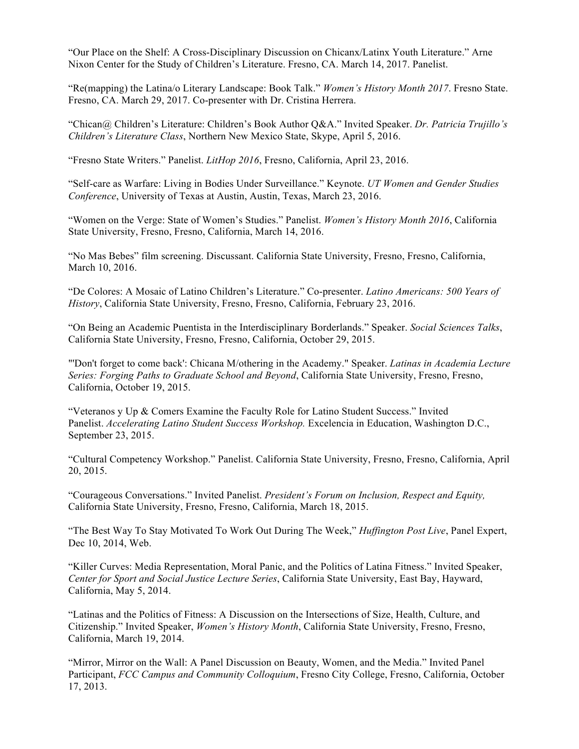"Our Place on the Shelf: A Cross-Disciplinary Discussion on Chicanx/Latinx Youth Literature." Arne Nixon Center for the Study of Children's Literature. Fresno, CA. March 14, 2017. Panelist.

"Re(mapping) the Latina/o Literary Landscape: Book Talk." *Women's History Month 2017*. Fresno State. Fresno, CA. March 29, 2017. Co-presenter with Dr. Cristina Herrera.

"Chican@ Children's Literature: Children's Book Author Q&A." Invited Speaker. *Dr. Patricia Trujillo's Children's Literature Class*, Northern New Mexico State, Skype, April 5, 2016.

"Fresno State Writers." Panelist. *LitHop 2016*, Fresno, California, April 23, 2016.

"Self-care as Warfare: Living in Bodies Under Surveillance." Keynote. *UT Women and Gender Studies Conference*, University of Texas at Austin, Austin, Texas, March 23, 2016.

"Women on the Verge: State of Women's Studies." Panelist. *Women's History Month 2016*, California State University, Fresno, Fresno, California, March 14, 2016.

"No Mas Bebes" film screening. Discussant. California State University, Fresno, Fresno, California, March 10, 2016.

"De Colores: A Mosaic of Latino Children's Literature." Co-presenter. *Latino Americans: 500 Years of History*, California State University, Fresno, Fresno, California, February 23, 2016.

"On Being an Academic Puentista in the Interdisciplinary Borderlands." Speaker. *Social Sciences Talks*, California State University, Fresno, Fresno, California, October 29, 2015.

"'Don't forget to come back': Chicana M/othering in the Academy." Speaker. *Latinas in Academia Lecture Series: Forging Paths to Graduate School and Beyond*, California State University, Fresno, Fresno, California, October 19, 2015.

"Veteranos y Up & Comers Examine the Faculty Role for Latino Student Success." Invited Panelist. *Accelerating Latino Student Success Workshop.* Excelencia in Education, Washington D.C., September 23, 2015.

"Cultural Competency Workshop." Panelist. California State University, Fresno, Fresno, California, April 20, 2015.

"Courageous Conversations." Invited Panelist. *President's Forum on Inclusion, Respect and Equity,* California State University, Fresno, Fresno, California, March 18, 2015.

"The Best Way To Stay Motivated To Work Out During The Week," *Huffington Post Live*, Panel Expert, Dec 10, 2014, Web.

"Killer Curves: Media Representation, Moral Panic, and the Politics of Latina Fitness." Invited Speaker, *Center for Sport and Social Justice Lecture Series*, California State University, East Bay, Hayward, California, May 5, 2014.

"Latinas and the Politics of Fitness: A Discussion on the Intersections of Size, Health, Culture, and Citizenship." Invited Speaker, *Women's History Month*, California State University, Fresno, Fresno, California, March 19, 2014.

"Mirror, Mirror on the Wall: A Panel Discussion on Beauty, Women, and the Media." Invited Panel Participant, *FCC Campus and Community Colloquium*, Fresno City College, Fresno, California, October 17, 2013.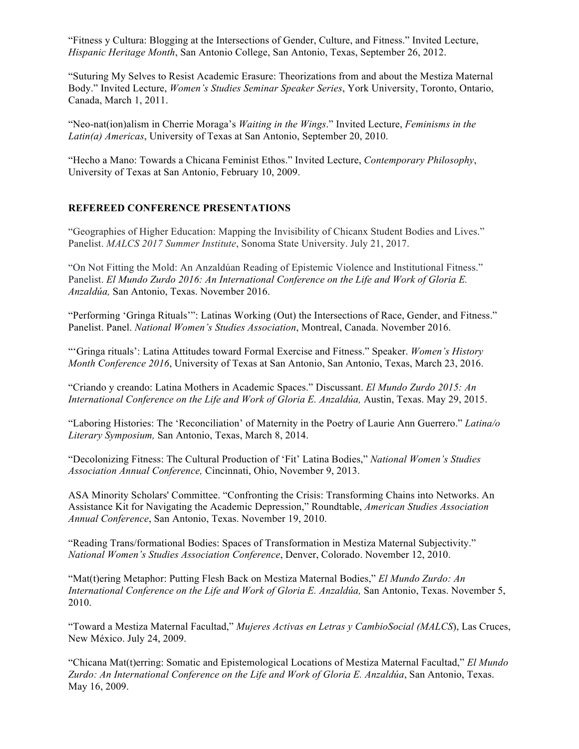"Fitness y Cultura: Blogging at the Intersections of Gender, Culture, and Fitness." Invited Lecture, *Hispanic Heritage Month*, San Antonio College, San Antonio, Texas, September 26, 2012.

"Suturing My Selves to Resist Academic Erasure: Theorizations from and about the Mestiza Maternal Body." Invited Lecture, *Women's Studies Seminar Speaker Series*, York University, Toronto, Ontario, Canada, March 1, 2011.

"Neo-nat(ion)alism in Cherrie Moraga's *Waiting in the Wings*." Invited Lecture, *Feminisms in the Latin(a) Americas*, University of Texas at San Antonio, September 20, 2010.

"Hecho a Mano: Towards a Chicana Feminist Ethos." Invited Lecture, *Contemporary Philosophy*, University of Texas at San Antonio, February 10, 2009.

#### **REFEREED CONFERENCE PRESENTATIONS**

"Geographies of Higher Education: Mapping the Invisibility of Chicanx Student Bodies and Lives." Panelist. *MALCS 2017 Summer Institute*, Sonoma State University. July 21, 2017.

"On Not Fitting the Mold: An Anzaldúan Reading of Epistemic Violence and Institutional Fitness." Panelist. *El Mundo Zurdo 2016: An International Conference on the Life and Work of Gloria E. Anzaldúa,* San Antonio, Texas. November 2016.

"Performing 'Gringa Rituals'": Latinas Working (Out) the Intersections of Race, Gender, and Fitness." Panelist. Panel. *National Women's Studies Association*, Montreal, Canada. November 2016.

"'Gringa rituals': Latina Attitudes toward Formal Exercise and Fitness." Speaker. *Women's History Month Conference 2016*, University of Texas at San Antonio, San Antonio, Texas, March 23, 2016.

"Criando y creando: Latina Mothers in Academic Spaces." Discussant. *El Mundo Zurdo 2015: An International Conference on the Life and Work of Gloria E. Anzaldúa,* Austin, Texas. May 29, 2015.

"Laboring Histories: The 'Reconciliation' of Maternity in the Poetry of Laurie Ann Guerrero." *Latina/o Literary Symposium,* San Antonio, Texas, March 8, 2014.

"Decolonizing Fitness: The Cultural Production of 'Fit' Latina Bodies," *National Women's Studies Association Annual Conference,* Cincinnati, Ohio, November 9, 2013.

ASA Minority Scholars' Committee. "Confronting the Crisis: Transforming Chains into Networks. An Assistance Kit for Navigating the Academic Depression," Roundtable, *American Studies Association Annual Conference*, San Antonio, Texas. November 19, 2010.

"Reading Trans/formational Bodies: Spaces of Transformation in Mestiza Maternal Subjectivity." *National Women's Studies Association Conference*, Denver, Colorado. November 12, 2010.

"Mat(t)ering Metaphor: Putting Flesh Back on Mestiza Maternal Bodies," *El Mundo Zurdo: An International Conference on the Life and Work of Gloria E. Anzaldúa,* San Antonio, Texas. November 5, 2010.

"Toward a Mestiza Maternal Facultad," *Mujeres Activas en Letras y CambioSocial (MALCS*), Las Cruces, New México. July 24, 2009.

"Chicana Mat(t)erring: Somatic and Epistemological Locations of Mestiza Maternal Facultad," *El Mundo Zurdo: An International Conference on the Life and Work of Gloria E. Anzaldúa*, San Antonio, Texas. May 16, 2009.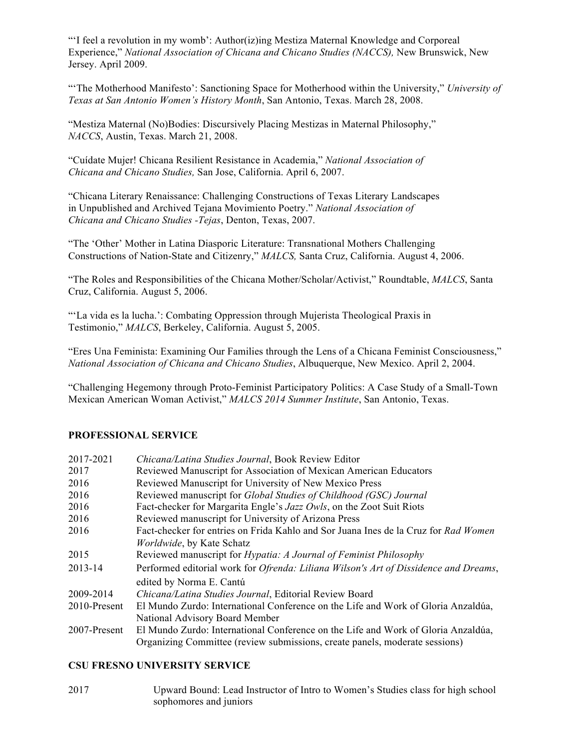"'I feel a revolution in my womb': Author(iz)ing Mestiza Maternal Knowledge and Corporeal Experience," *National Association of Chicana and Chicano Studies (NACCS),* New Brunswick, New Jersey. April 2009.

"'The Motherhood Manifesto': Sanctioning Space for Motherhood within the University," *University of Texas at San Antonio Women's History Month*, San Antonio, Texas. March 28, 2008.

"Mestiza Maternal (No)Bodies: Discursively Placing Mestizas in Maternal Philosophy," *NACCS*, Austin, Texas. March 21, 2008.

"Cuídate Mujer! Chicana Resilient Resistance in Academia," *National Association of Chicana and Chicano Studies,* San Jose, California. April 6, 2007.

"Chicana Literary Renaissance: Challenging Constructions of Texas Literary Landscapes in Unpublished and Archived Tejana Movimiento Poetry." *National Association of Chicana and Chicano Studies -Tejas*, Denton, Texas, 2007.

"The 'Other' Mother in Latina Diasporic Literature: Transnational Mothers Challenging Constructions of Nation-State and Citizenry," *MALCS,* Santa Cruz, California. August 4, 2006.

"The Roles and Responsibilities of the Chicana Mother/Scholar/Activist," Roundtable, *MALCS*, Santa Cruz, California. August 5, 2006.

"'La vida es la lucha.': Combating Oppression through Mujerista Theological Praxis in Testimonio," *MALCS*, Berkeley, California. August 5, 2005.

"Eres Una Feminista: Examining Our Families through the Lens of a Chicana Feminist Consciousness," *National Association of Chicana and Chicano Studies*, Albuquerque, New Mexico. April 2, 2004.

"Challenging Hegemony through Proto-Feminist Participatory Politics: A Case Study of a Small-Town Mexican American Woman Activist," *MALCS 2014 Summer Institute*, San Antonio, Texas.

#### **PROFESSIONAL SERVICE**

| 2017-2021    | Chicana/Latina Studies Journal, Book Review Editor                                           |
|--------------|----------------------------------------------------------------------------------------------|
| 2017         | Reviewed Manuscript for Association of Mexican American Educators                            |
| 2016         | Reviewed Manuscript for University of New Mexico Press                                       |
| 2016         | Reviewed manuscript for <i>Global Studies of Childhood (GSC) Journal</i>                     |
| 2016         | Fact-checker for Margarita Engle's Jazz Owls, on the Zoot Suit Riots                         |
| 2016         | Reviewed manuscript for University of Arizona Press                                          |
| 2016         | Fact-checker for entries on Frida Kahlo and Sor Juana Ines de la Cruz for Rad Women          |
|              | <i>Worldwide</i> , by Kate Schatz                                                            |
| 2015         | Reviewed manuscript for <i>Hypatia: A Journal of Feminist Philosophy</i>                     |
| 2013-14      | Performed editorial work for <i>Ofrenda: Liliana Wilson's Art of Dissidence and Dreams</i> , |
|              | edited by Norma E. Cantú                                                                     |
| 2009-2014    | Chicana/Latina Studies Journal, Editorial Review Board                                       |
| 2010-Present | El Mundo Zurdo: International Conference on the Life and Work of Gloria Anzaldúa,            |
|              | National Advisory Board Member                                                               |
| 2007-Present | El Mundo Zurdo: International Conference on the Life and Work of Gloria Anzaldúa,            |
|              | Organizing Committee (review submissions, create panels, moderate sessions)                  |

#### **CSU FRESNO UNIVERSITY SERVICE**

2017 Upward Bound: Lead Instructor of Intro to Women's Studies class for high school sophomores and juniors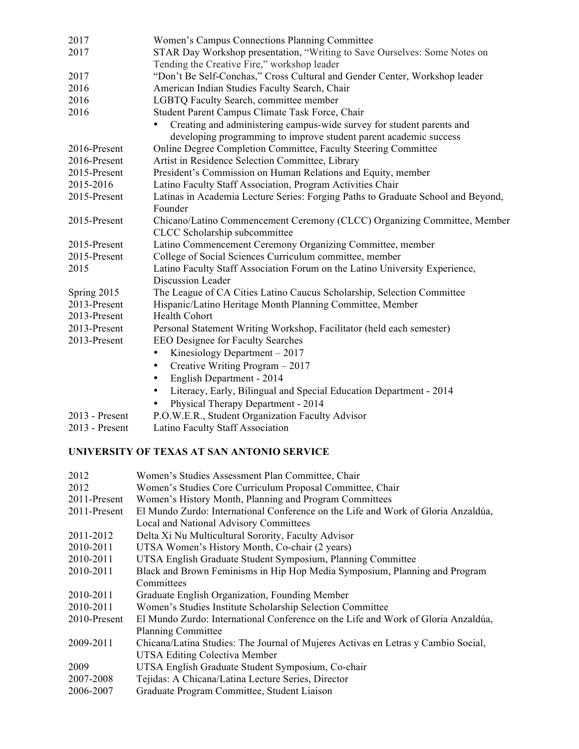| 2017             | Women's Campus Connections Planning Committee                                    |
|------------------|----------------------------------------------------------------------------------|
| 2017             | STAR Day Workshop presentation, "Writing to Save Ourselves: Some Notes on        |
|                  | Tending the Creative Fire," workshop leader                                      |
| 2017             | "Don't Be Self-Conchas," Cross Cultural and Gender Center, Workshop leader       |
| 2016             | American Indian Studies Faculty Search, Chair                                    |
| 2016             | LGBTQ Faculty Search, committee member                                           |
| 2016             | Student Parent Campus Climate Task Force, Chair                                  |
|                  | Creating and administering campus-wide survey for student parents and            |
|                  | developing programming to improve student parent academic success                |
| 2016-Present     | Online Degree Completion Committee, Faculty Steering Committee                   |
| 2016-Present     | Artist in Residence Selection Committee, Library                                 |
| 2015-Present     | President's Commission on Human Relations and Equity, member                     |
| 2015-2016        | Latino Faculty Staff Association, Program Activities Chair                       |
| 2015-Present     | Latinas in Academia Lecture Series: Forging Paths to Graduate School and Beyond, |
|                  | Founder                                                                          |
| 2015-Present     | Chicano/Latino Commencement Ceremony (CLCC) Organizing Committee, Member         |
|                  | CLCC Scholarship subcommittee                                                    |
| 2015-Present     | Latino Commencement Ceremony Organizing Committee, member                        |
| 2015-Present     | College of Social Sciences Curriculum committee, member                          |
| 2015             | Latino Faculty Staff Association Forum on the Latino University Experience,      |
|                  | Discussion Leader                                                                |
| Spring 2015      | The League of CA Cities Latino Caucus Scholarship, Selection Committee           |
| 2013-Present     | Hispanic/Latino Heritage Month Planning Committee, Member                        |
| 2013-Present     | <b>Health Cohort</b>                                                             |
| 2013-Present     | Personal Statement Writing Workshop, Facilitator (held each semester)            |
| 2013-Present     | EEO Designee for Faculty Searches                                                |
|                  | Kinesiology Department $-2017$<br>$\bullet$                                      |
|                  | Creative Writing Program - 2017<br>٠                                             |
|                  | English Department - 2014                                                        |
|                  | Literacy, Early, Bilingual and Special Education Department - 2014               |
|                  | Physical Therapy Department - 2014                                               |
| $2013$ - Present | P.O.W.E.R., Student Organization Faculty Advisor                                 |
| 2013 - Present   | Latino Faculty Staff Association                                                 |

# **UNIVERSITY OF TEXAS AT SAN ANTONIO SERVICE**

| 2012         | Women's Studies Assessment Plan Committee, Chair                                  |  |
|--------------|-----------------------------------------------------------------------------------|--|
| 2012         | Women's Studies Core Curriculum Proposal Committee, Chair                         |  |
| 2011-Present | Women's History Month, Planning and Program Committees                            |  |
| 2011-Present | El Mundo Zurdo: International Conference on the Life and Work of Gloria Anzaldúa, |  |
|              | Local and National Advisory Committees                                            |  |
| 2011-2012    | Delta Xi Nu Multicultural Sorority, Faculty Advisor                               |  |
| 2010-2011    | UTSA Women's History Month, Co-chair (2 years)                                    |  |
| 2010-2011    | UTSA English Graduate Student Symposium, Planning Committee                       |  |
| 2010-2011    | Black and Brown Feminisms in Hip Hop Media Symposium, Planning and Program        |  |
|              | Committees                                                                        |  |
| 2010-2011    | Graduate English Organization, Founding Member                                    |  |
| 2010-2011    | Women's Studies Institute Scholarship Selection Committee                         |  |
| 2010-Present | El Mundo Zurdo: International Conference on the Life and Work of Gloria Anzaldúa, |  |
|              | <b>Planning Committee</b>                                                         |  |
| 2009-2011    | Chicana/Latina Studies: The Journal of Mujeres Activas en Letras y Cambio Social, |  |
|              | <b>UTSA Editing Colectiva Member</b>                                              |  |
| 2009         | UTSA English Graduate Student Symposium, Co-chair                                 |  |
| 2007-2008    | Tejidas: A Chicana/Latina Lecture Series, Director                                |  |
| 2006-2007    | Graduate Program Committee, Student Liaison                                       |  |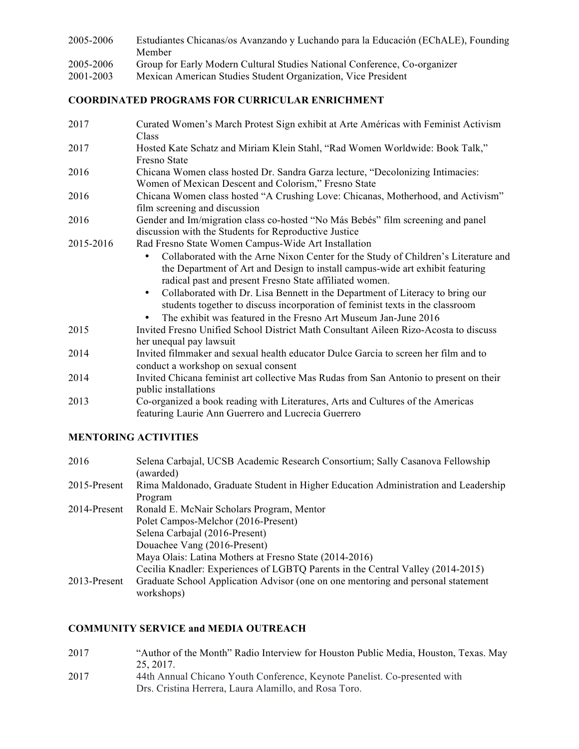| 2005-2006 | Estudiantes Chicanas/os Avanzando y Luchando para la Educación (EChALE), Founding |
|-----------|-----------------------------------------------------------------------------------|
|           | Member                                                                            |

- 2005-2006 Group for Early Modern Cultural Studies National Conference, Co-organizer
- 2001-2003 Mexican American Studies Student Organization, Vice President

## **COORDINATED PROGRAMS FOR CURRICULAR ENRICHMENT**

2017 Curated Women's March Protest Sign exhibit at Arte Américas with Feminist Activism Class 2017 Hosted Kate Schatz and Miriam Klein Stahl, "Rad Women Worldwide: Book Talk," Fresno State 2016 Chicana Women class hosted Dr. Sandra Garza lecture, "Decolonizing Intimacies: Women of Mexican Descent and Colorism," Fresno State 2016 Chicana Women class hosted "A Crushing Love: Chicanas, Motherhood, and Activism" film screening and discussion 2016 Gender and Im/migration class co-hosted "No Más Bebés" film screening and panel discussion with the Students for Reproductive Justice 2015-2016 Rad Fresno State Women Campus-Wide Art Installation • Collaborated with the Arne Nixon Center for the Study of Children's Literature and the Department of Art and Design to install campus-wide art exhibit featuring radical past and present Fresno State affiliated women. • Collaborated with Dr. Lisa Bennett in the Department of Literacy to bring our students together to discuss incorporation of feminist texts in the classroom • The exhibit was featured in the Fresno Art Museum Jan-June 2016 2015 Invited Fresno Unified School District Math Consultant Aileen Rizo-Acosta to discuss her unequal pay lawsuit 2014 Invited filmmaker and sexual health educator Dulce Garcia to screen her film and to conduct a workshop on sexual consent 2014 Invited Chicana feminist art collective Mas Rudas from San Antonio to present on their public installations 2013 Co-organized a book reading with Literatures, Arts and Cultures of the Americas featuring Laurie Ann Guerrero and Lucrecia Guerrero

# **MENTORING ACTIVITIES**

| 2016         | Selena Carbajal, UCSB Academic Research Consortium; Sally Casanova Fellowship<br>(awarded)     |
|--------------|------------------------------------------------------------------------------------------------|
| 2015-Present | Rima Maldonado, Graduate Student in Higher Education Administration and Leadership             |
|              | Program                                                                                        |
| 2014-Present | Ronald E. McNair Scholars Program, Mentor                                                      |
|              | Polet Campos-Melchor (2016-Present)                                                            |
|              | Selena Carbajal (2016-Present)                                                                 |
|              | Douachee Vang (2016-Present)                                                                   |
|              | Maya Olais: Latina Mothers at Fresno State (2014-2016)                                         |
|              | Cecilia Knadler: Experiences of LGBTQ Parents in the Central Valley (2014-2015)                |
| 2013-Present | Graduate School Application Advisor (one on one mentoring and personal statement<br>workshops) |

# **COMMUNITY SERVICE and MEDIA OUTREACH**

- 2017 "Author of the Month" Radio Interview for Houston Public Media, Houston, Texas. May 25, 2017.
- 2017 44th Annual Chicano Youth Conference, Keynote Panelist. Co-presented with Drs. Cristina Herrera, Laura Alamillo, and Rosa Toro.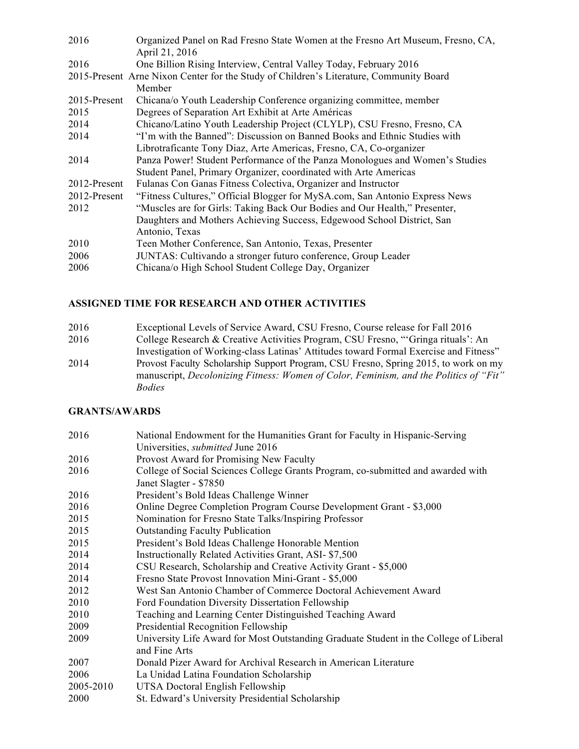| 2016         | Organized Panel on Rad Fresno State Women at the Fresno Art Museum, Fresno, CA,<br>April 21, 2016 |  |
|--------------|---------------------------------------------------------------------------------------------------|--|
| 2016         | One Billion Rising Interview, Central Valley Today, February 2016                                 |  |
|              | 2015-Present Arne Nixon Center for the Study of Children's Literature, Community Board            |  |
|              | Member                                                                                            |  |
| 2015-Present | Chicana/o Youth Leadership Conference organizing committee, member                                |  |
| 2015         | Degrees of Separation Art Exhibit at Arte Américas                                                |  |
| 2014         | Chicano/Latino Youth Leadership Project (CLYLP), CSU Fresno, Fresno, CA                           |  |
| 2014         | "I'm with the Banned": Discussion on Banned Books and Ethnic Studies with                         |  |
|              | Librotraficante Tony Diaz, Arte Americas, Fresno, CA, Co-organizer                                |  |
| 2014         | Panza Power! Student Performance of the Panza Monologues and Women's Studies                      |  |
|              | Student Panel, Primary Organizer, coordinated with Arte Americas                                  |  |
| 2012-Present | Fulanas Con Ganas Fitness Colectiva, Organizer and Instructor                                     |  |
| 2012-Present | "Fitness Cultures," Official Blogger for MySA.com, San Antonio Express News                       |  |
| 2012         | "Muscles are for Girls: Taking Back Our Bodies and Our Health," Presenter,                        |  |
|              | Daughters and Mothers Achieving Success, Edgewood School District, San                            |  |
|              | Antonio, Texas                                                                                    |  |
| 2010         | Teen Mother Conference, San Antonio, Texas, Presenter                                             |  |
| 2006         | JUNTAS: Cultivando a stronger futuro conference, Group Leader                                     |  |
| 2006         | Chicana/o High School Student College Day, Organizer                                              |  |

# **ASSIGNED TIME FOR RESEARCH AND OTHER ACTIVITIES**

| 2016 | Exceptional Levels of Service Award, CSU Fresno, Course release for Fall 2016         |
|------|---------------------------------------------------------------------------------------|
| 2016 | College Research & Creative Activities Program, CSU Fresno, "Gringa rituals': An      |
|      | Investigation of Working-class Latinas' Attitudes toward Formal Exercise and Fitness" |
| 2014 | Provost Faculty Scholarship Support Program, CSU Fresno, Spring 2015, to work on my   |
|      | manuscript, Decolonizing Fitness: Women of Color, Feminism, and the Politics of "Fit" |
|      | <i>Bodies</i>                                                                         |

# **GRANTS/AWARDS**

| 2016      | National Endowment for the Humanities Grant for Faculty in Hispanic-Serving                                |
|-----------|------------------------------------------------------------------------------------------------------------|
|           | Universities, <i>submitted</i> June 2016                                                                   |
| 2016      | Provost Award for Promising New Faculty                                                                    |
| 2016      | College of Social Sciences College Grants Program, co-submitted and awarded with<br>Janet Slagter - \$7850 |
| 2016      | President's Bold Ideas Challenge Winner                                                                    |
| 2016      | Online Degree Completion Program Course Development Grant - \$3,000                                        |
| 2015      | Nomination for Fresno State Talks/Inspiring Professor                                                      |
| 2015      | <b>Outstanding Faculty Publication</b>                                                                     |
| 2015      | President's Bold Ideas Challenge Honorable Mention                                                         |
| 2014      | Instructionally Related Activities Grant, ASI-\$7,500                                                      |
| 2014      | CSU Research, Scholarship and Creative Activity Grant - \$5,000                                            |
| 2014      | Fresno State Provost Innovation Mini-Grant - \$5,000                                                       |
| 2012      | West San Antonio Chamber of Commerce Doctoral Achievement Award                                            |
| 2010      | Ford Foundation Diversity Dissertation Fellowship                                                          |
| 2010      | Teaching and Learning Center Distinguished Teaching Award                                                  |
| 2009      | Presidential Recognition Fellowship                                                                        |
| 2009      | University Life Award for Most Outstanding Graduate Student in the College of Liberal<br>and Fine Arts     |
| 2007      | Donald Pizer Award for Archival Research in American Literature                                            |
| 2006      | La Unidad Latina Foundation Scholarship                                                                    |
| 2005-2010 | UTSA Doctoral English Fellowship                                                                           |
| 2000      | St. Edward's University Presidential Scholarship                                                           |
|           |                                                                                                            |